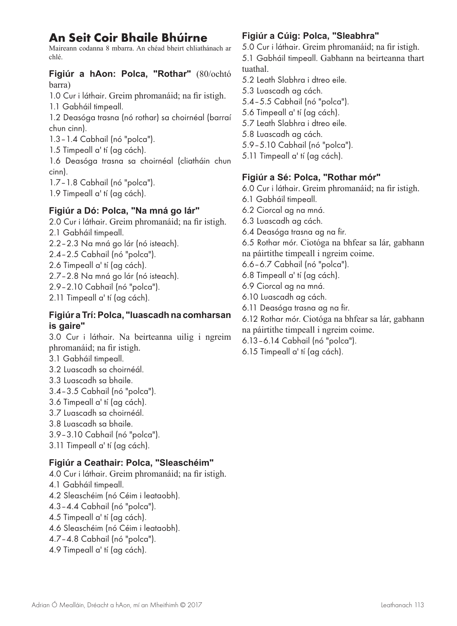### **An Seit Coir Bhaile Bhúirne**

Maireann codanna 8 mbarra. An chéad bheirt chliathánach ar chlé.

**Figiúr a hAon: Polca, "Rothar"** (80/ochtó barra)

1.0 Cur i láthair. Greim phromanáid; na fir istigh. 1.1 Gabháil timpeall.

1.2 Deasóga trasna (nó rothar) sa choirnéal (barraí chun cinn).

1.3–1.4 Cabhail (nó "polca").

1.5 Timpeall a' tí (ag cách).

1.6 Deasóga trasna sa choirnéal (cliatháin chun cinn).

1.7–1.8 Cabhail (nó "polca").

1.9 Timpeall a' tí (ag cách).

#### **Figiúr a Dó: Polca, "Na mná go lár"**

- 2.0 Cur i láthair. Greim phromanáid; na fir istigh. 2.1 Gabháil timpeall. 2.2–2.3 Na mná go lár (nó isteach).
- 2.4–2.5 Cabhail (nó "polca").
- 2.6 Timpeall a' tí (ag cách).
- 2.7–2.8 Na mná go lár (nó isteach).
- 2.9–2.10 Cabhail (nó "polca").

2.11 Timpeall a' tí (ag cách).

#### **Figiúr a Trí: Polca, "luascadh na comharsan is gaire"**

3.0 Cur i láthair. Na beirteanna uilig i ngreim phromanáid; na fir istigh.

- 3.1 Gabháil timpeall.
- 3.2 Luascadh sa choirnéál.
- 3.3 Luascadh sa bhaile.
- 3.4–3.5 Cabhail (nó "polca").
- 3.6 Timpeall a' tí (ag cách).
- 3.7 Luascadh sa choirnéál.
- 3.8 Luascadh sa bhaile.

3.9–3.10 Cabhail (nó "polca").

3.11 Timpeall a' tí (ag cách).

#### **Figiúr a Ceathair: Polca, "Sleaschéim"**

4.0 Cur i láthair. Greim phromanáid; na fir istigh. 4.1 Gabháil timpeall. 4.2 Sleaschéim (nó Céim i leataobh). 4.3–4.4 Cabhail (nó "polca"). 4.5 Timpeall a' tí (ag cách). 4.6 Sleaschéim (nó Céim i leataobh). 4.7–4.8 Cabhail (nó "polca"). 4.9 Timpeall a' tí (ag cách).

#### **Figiúr a Cúig: Polca, "Sleabhra"**

5.0 Cur i láthair. Greim phromanáid; na fir istigh. 5.1 Gabháil timpeall. Gabhann na beirteanna thart tuathal.

- 5.2 Leath Slabhra i dtreo eile.
- 5.3 Luascadh ag cách.
- 5.4–5.5 Cabhail (nó "polca").
- 5.6 Timpeall a' tí (ag cách).
- 5.7 Leath Slabhra i dtreo eile.
- 5.8 Luascadh ag cách.
- 5.9–5.10 Cabhail (nó "polca").
- 5.11 Timpeall a' tí (ag cách).

#### **Figiúr a Sé: Polca, "Rothar mór"**

- 6.0 Cur i láthair. Greim phromanáid; na fir istigh.
- 6.1 Gabháil timpeall.
- 6.2 Ciorcal ag na mná.
- 6.3 Luascadh ag cách.
- 6.4 Deasóga trasna ag na fir.

6.5 Rothar mór. Ciotóga na bhfear sa lár, gabhann na páirtithe timpeall i ngreim coime.

- 6.6–6.7 Cabhail (nó "polca").
- 6.8 Timpeall a' tí (ag cách).
- 6.9 Ciorcal ag na mná.
- 6.10 Luascadh ag cách.
- 6.11 Deasóga trasna ag na fir.

6.12 Rothar mór. Ciotóga na bhfear sa lár, gabhann na páirtithe timpeall i ngreim coime.

- 6.13–6.14 Cabhail (nó "polca").
- 6.15 Timpeall a' tí (ag cách).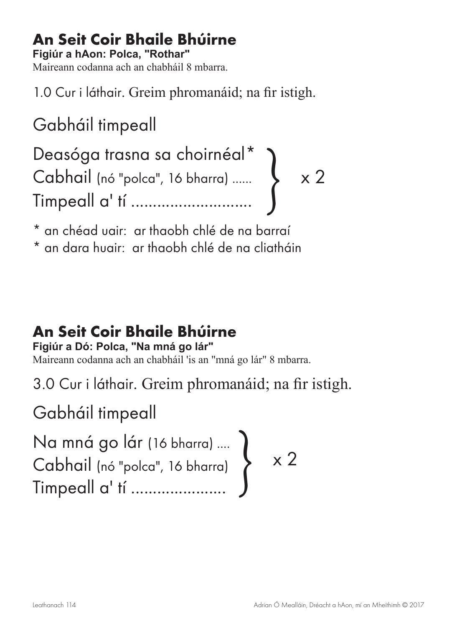### **An Seit Coir Bhaile Bhúirne**

**Figiúr a hAon: Polca, "Rothar"**

Maireann codanna ach an chabháil 8 mbarra.

1.0 Cur i láthair. Greim phromanáid; na fir istigh.

Gabháil timpeall

x 2 Deasóga trasna sa choirnéal\* Cabhail (nó "polca", 16 bharra) ...... Timpeall a' tí ............................ }

\* an chéad uair: ar thaobh chlé de na barraí

\* an dara huair: ar thaobh chlé de na cliatháin

## **An Seit Coir Bhaile Bhúirne**

**Figiúr a Dó: Polca, "Na mná go lár"**

Maireann codanna ach an chabháil 'is an "mná go lár" 8 mbarra.

3.0 Cur i láthair. Greim phromanáid; na fir istigh.

Gabháil timpeall

Na mná go lár (16 bharra) ....  $\begin{array}{ccc} \textsf{Cabbail} & \circ & \textsf{c} \\ \textsf{Iimpeall} & \textsf{d}^\dagger & \dots & \dots & \dots & \dots \end{array} \quad \begin{array}{c} \textsf{x} \text{ } 2 \end{array}$ Timpeall a' tí .................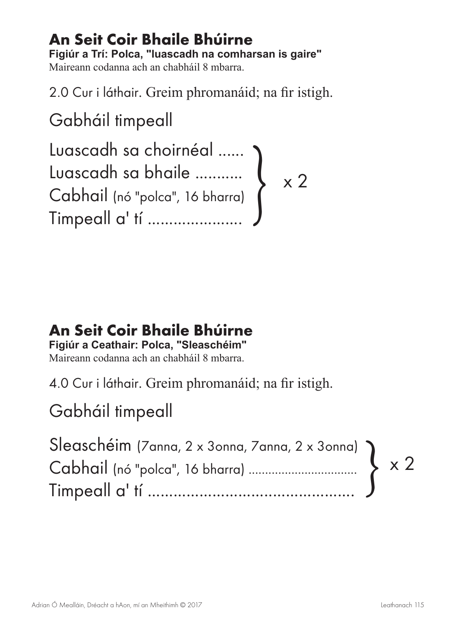#### **An Seit Coir Bhaile Bhúirne Figiúr a Trí: Polca, "luascadh na comharsan is gaire"** Maireann codanna ach an chabháil 8 mbarra.

2.0 Cur i láthair. Greim phromanáid; na fir istigh.

Gabháil timpeall

Luascadh sa choirnéal ...... Luascadh sa bhaile ........... Cabhail (nó "polca", 16 bharra) Timpeall a' tí .....................  $\left\{\begin{array}{c} \times 2 \\ 2 \end{array}\right.$ 

### **An Seit Coir Bhaile Bhúirne**

**Figiúr a Ceathair: Polca, "Sleaschéim"**

Maireann codanna ach an chabháil 8 mbarra.

4.0 Cur i láthair. Greim phromanáid; na fir istigh.

## Gabháil timpeall

| Sleaschéim (Zanna, 2 x 3onna, Zanna, 2 x 3onna) |  |
|-------------------------------------------------|--|
|                                                 |  |
|                                                 |  |